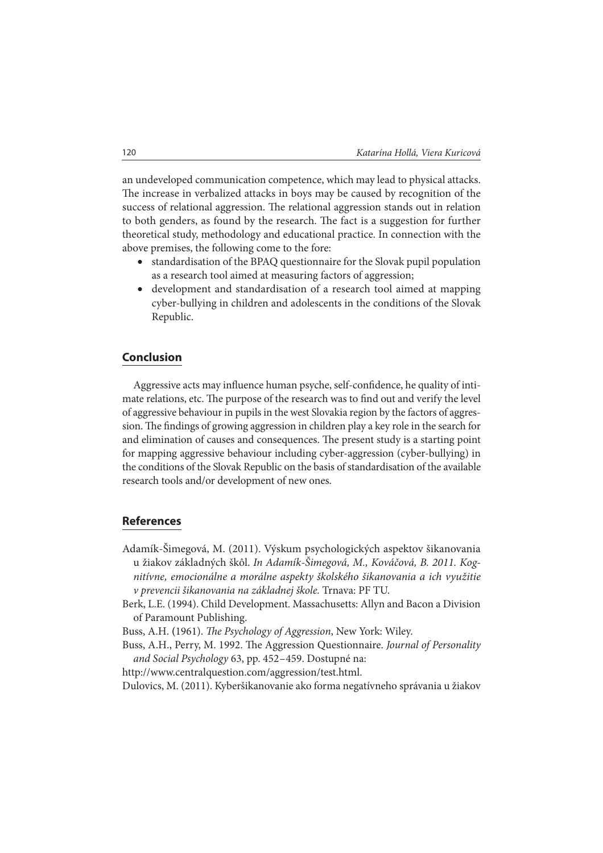an undeveloped communication competence, which may lead to physical attacks. The increase in verbalized attacks in boys may be caused by recognition of the success of relational aggression. The relational aggression stands out in relation to both genders, as found by the research. The fact is a suggestion for further theoretical study, methodology and educational practice. In connection with the above premises, the following come to the fore:

- x standardisation of the BPAQ questionnaire for the Slovak pupil population as a research tool aimed at measuring factors of aggression;
- development and standardisation of a research tool aimed at mapping cyber-bullying in children and adolescents in the conditions of the Slovak Republic.

## **Conclusion**

Aggressive acts may influence human psyche, self-confidence, he quality of intimate relations, etc. The purpose of the research was to find out and verify the level of aggressive behaviour in pupils in the west Slovakia region by the factors of aggression. The findings of growing aggression in children play a key role in the search for and elimination of causes and consequences. The present study is a starting point for mapping aggressive behaviour including cyber-aggression (cyber-bullying) in the conditions of the Slovak Republic on the basis of standardisation of the available research tools and/or development of new ones.

## **References**

- Adamík-Šimegová, M. (2011). Výskum psychologických aspektov šikanovania u žiakov základných škôl. In Adamík-Šimegová, M., Kováčová, B. 2011. Kognitívne, emocionálne a morálne aspekty školského šikanovania a ich využitie v prevencii šikanovania na základnej škole. Trnava: PF TU.
- Berk, L.E. (1994). Child Development. Massachusetts: Allyn and Bacon a Division of Paramount Publishing.

Buss, A.H. (1961). The Psychology of Aggression, New York: Wiley.

Buss, A.H., Perry, M. 1992. The Aggression Questionnaire. Journal of Personality and Social Psychology 63, pp. 452 – 459. Dostupné na:

http://www.centralquestion.com/aggression/test.html.

Dulovics, M. (2011). Kyberšikanovanie ako forma negatívneho správania u žiakov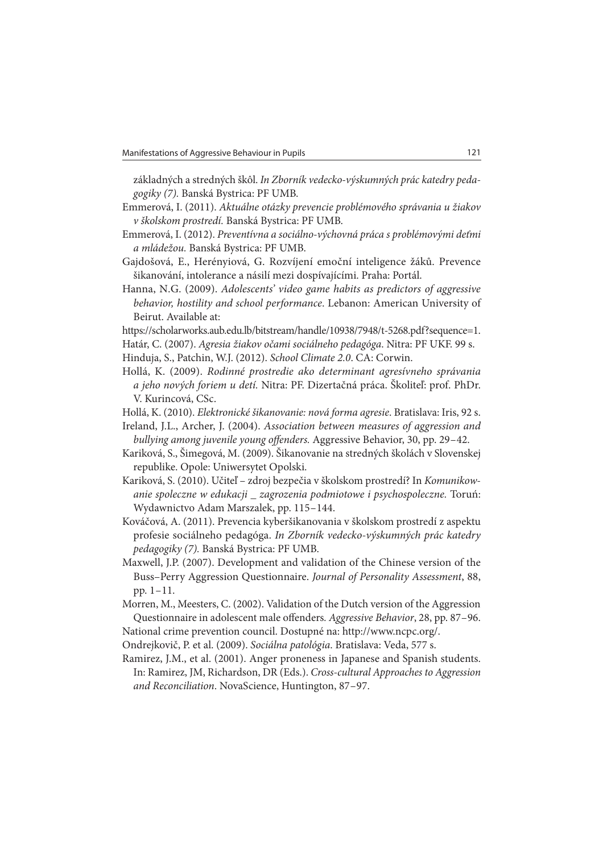základných a stredných škôl. In Zborník vedecko-výskumných prác katedry pedagogiky (7). Banská Bystrica: PF UMB.

- Emmerová, I. (2011). Aktuálne otázky prevencie problémového správania u žiakov v školskom prostredí. Banská Bystrica: PF UMB.
- Emmerová, I. (2012). Preventívna a sociálno-výchovná práca s problémovými deťmi a mládežou. Banská Bystrica: PF UMB.
- Gajdošová, E., Herényiová, G. Rozvíjení emoční inteligence žáků. Prevence šikanování, intolerance a násilí mezi dospívajícími. Praha: Portál.
- Hanna, N.G. (2009). Adolescents' video game habits as predictors of aggressive behavior, hostility and school performance. Lebanon: American University of Beirut. Available at:
- https://scholarworks.aub.edu.lb/bitstream/handle/10938/7948/t-5268.pdf?sequence=1.
- Határ, C. (2007). Agresia žiakov očami sociálneho pedagóga. Nitra: PF UKF. 99 s.
- Hinduja, S., Patchin, W.J. (2012). School Climate 2.0. CA: Corwin.
- Hollá, K. (2009). Rodinné prostredie ako determinant agresívneho správania a jeho nových foriem u detí. Nitra: PF. Dizertačná práca. Školiteľ: prof. PhDr. V. Kurincová, CSc.
- Hollá, K. (2010). Elektronické šikanovanie: nová forma agresie. Bratislava: Iris, 92 s.
- Ireland, J.L., Archer, J. (2004). Association between measures of aggression and bullying among juvenile young offenders. Aggressive Behavior, 30, pp. 29-42.
- Kariková, S., Šimegová, M. (2009). Šikanovanie na stredných školách v Slovenskej republike. Opole: Uniwersytet Opolski.
- Kariková, S. (2010). Učiteľ zdroj bezpečia v školskom prostredí? In Komunikowanie spoleczne w edukacji \_ zagrozenia podmiotowe i psychospoleczne. Toruń: Wydawnictvo Adam Marszalek, pp. 115 – 144.
- Kováčová, A. (2011). Prevencia kyberšikanovania v školskom prostredí z aspektu profesie sociálneho pedagóga. In Zborník vedecko-výskumných prác katedry pedagogiky (7). Banská Bystrica: PF UMB.
- Maxwell, J.P. (2007). Development and validation of the Chinese version of the Buss–Perry Aggression Questionnaire. Journal of Personality Assessment, 88, pp. 1 – 11.
- Morren, M., Meesters, C. (2002). Validation of the Dutch version of the Aggression Questionnaire in adolescent male offenders. Aggressive Behavior, 28, pp. 87-96. National crime prevention council. Dostupné na: http://www.ncpc.org/.
- Ondrejkovič, P. et al. (2009). Sociálna patológia. Bratislava: Veda, 577 s.
- Ramirez, J.M., et al. (2001). Anger proneness in Japanese and Spanish students. In: Ramirez, JM, Richardson, DR (Eds.). Cross-cultural Approaches to Aggression and Reconciliation. NovaScience, Huntington, 87-97.